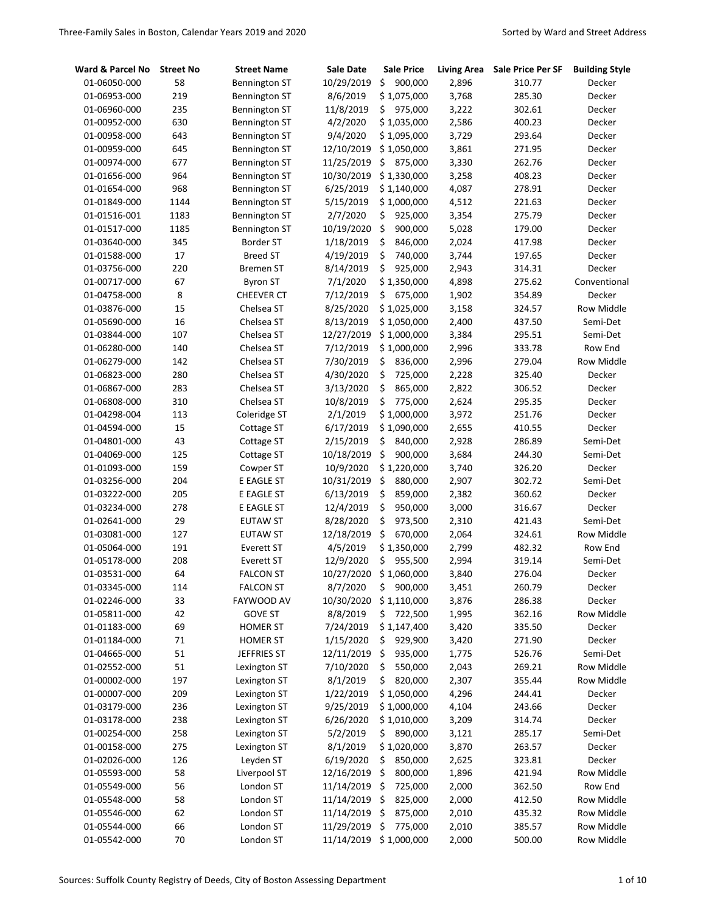| Ward & Parcel No | <b>Street No</b> | <b>Street Name</b>   | Sale Date              | <b>Sale Price</b> | <b>Living Area</b> | <b>Sale Price Per SF</b> | <b>Building Style</b> |
|------------------|------------------|----------------------|------------------------|-------------------|--------------------|--------------------------|-----------------------|
| 01-06050-000     | 58               | <b>Bennington ST</b> | 10/29/2019             | \$<br>900,000     | 2,896              | 310.77                   | Decker                |
| 01-06953-000     | 219              | <b>Bennington ST</b> | 8/6/2019               | \$1,075,000       | 3,768              | 285.30                   | Decker                |
| 01-06960-000     | 235              | <b>Bennington ST</b> | 11/8/2019              | \$.<br>975,000    | 3,222              | 302.61                   | Decker                |
| 01-00952-000     | 630              | <b>Bennington ST</b> | 4/2/2020               | \$1,035,000       | 2,586              | 400.23                   | Decker                |
| 01-00958-000     | 643              | <b>Bennington ST</b> | 9/4/2020               | \$1,095,000       | 3,729              | 293.64                   | Decker                |
| 01-00959-000     | 645              | <b>Bennington ST</b> | 12/10/2019             | \$1,050,000       | 3,861              | 271.95                   | Decker                |
| 01-00974-000     | 677              | <b>Bennington ST</b> | 11/25/2019             | \$<br>875,000     | 3,330              | 262.76                   | Decker                |
| 01-01656-000     | 964              | <b>Bennington ST</b> | 10/30/2019             | \$1,330,000       | 3,258              | 408.23                   | Decker                |
| 01-01654-000     | 968              | <b>Bennington ST</b> | 6/25/2019              | \$1,140,000       | 4,087              | 278.91                   | Decker                |
| 01-01849-000     | 1144             | <b>Bennington ST</b> | 5/15/2019              | \$1,000,000       | 4,512              | 221.63                   | Decker                |
| 01-01516-001     | 1183             | <b>Bennington ST</b> | 2/7/2020               | \$<br>925,000     | 3,354              | 275.79                   | Decker                |
| 01-01517-000     | 1185             | <b>Bennington ST</b> | 10/19/2020             | \$<br>900,000     | 5,028              | 179.00                   | Decker                |
| 01-03640-000     | 345              | Border ST            | 1/18/2019              | \$<br>846,000     | 2,024              | 417.98                   | Decker                |
| 01-01588-000     | 17               | <b>Breed ST</b>      | 4/19/2019              | \$<br>740,000     | 3,744              | 197.65                   | Decker                |
| 01-03756-000     | 220              | <b>Bremen ST</b>     | 8/14/2019              | \$<br>925,000     | 2,943              | 314.31                   | Decker                |
| 01-00717-000     | 67               | <b>Byron ST</b>      | 7/1/2020               | \$1,350,000       | 4,898              | 275.62                   | Conventional          |
| 01-04758-000     | 8                | <b>CHEEVER CT</b>    | 7/12/2019              | \$<br>675,000     | 1,902              | 354.89                   | Decker                |
| 01-03876-000     | 15               | Chelsea ST           | 8/25/2020              | \$1,025,000       | 3,158              | 324.57                   | Row Middle            |
| 01-05690-000     | 16               | Chelsea ST           | 8/13/2019              | \$1,050,000       | 2,400              | 437.50                   | Semi-Det              |
| 01-03844-000     | 107              | Chelsea ST           | 12/27/2019             | \$1,000,000       | 3,384              | 295.51                   | Semi-Det              |
| 01-06280-000     | 140              | Chelsea ST           | 7/12/2019              | \$1,000,000       | 2,996              | 333.78                   | Row End               |
| 01-06279-000     | 142              | Chelsea ST           | 7/30/2019              | \$<br>836,000     | 2,996              | 279.04                   | Row Middle            |
| 01-06823-000     | 280              | Chelsea ST           | 4/30/2020              | \$<br>725,000     | 2,228              | 325.40                   | Decker                |
| 01-06867-000     | 283              | Chelsea ST           | 3/13/2020              | \$<br>865,000     | 2,822              | 306.52                   | Decker                |
| 01-06808-000     | 310              | Chelsea ST           | 10/8/2019              | \$<br>775,000     | 2,624              | 295.35                   | Decker                |
| 01-04298-004     | 113              | Coleridge ST         | 2/1/2019               | \$1,000,000       | 3,972              | 251.76                   | Decker                |
| 01-04594-000     | 15               | Cottage ST           | 6/17/2019              | \$1,090,000       | 2,655              | 410.55                   | Decker                |
| 01-04801-000     | 43               | Cottage ST           | 2/15/2019              | \$<br>840,000     | 2,928              | 286.89                   | Semi-Det              |
| 01-04069-000     | 125              | Cottage ST           | 10/18/2019             | \$<br>900,000     | 3,684              | 244.30                   | Semi-Det              |
| 01-01093-000     | 159              | Cowper ST            | 10/9/2020              | \$1,220,000       | 3,740              | 326.20                   | Decker                |
| 01-03256-000     | 204              | E EAGLE ST           | 10/31/2019             | \$<br>880,000     | 2,907              | 302.72                   | Semi-Det              |
| 01-03222-000     | 205              | E EAGLE ST           | 6/13/2019              | \$<br>859,000     | 2,382              | 360.62                   | Decker                |
| 01-03234-000     | 278              | E EAGLE ST           | 12/4/2019              | \$<br>950,000     | 3,000              | 316.67                   | Decker                |
| 01-02641-000     | 29               | <b>EUTAW ST</b>      | 8/28/2020              | \$<br>973,500     | 2,310              | 421.43                   | Semi-Det              |
| 01-03081-000     | 127              | <b>EUTAW ST</b>      | 12/18/2019             | \$<br>670,000     | 2,064              | 324.61                   | Row Middle            |
| 01-05064-000     | 191              | Everett ST           | 4/5/2019               | \$1,350,000       | 2,799              | 482.32                   | Row End               |
| 01-05178-000     | 208              | <b>Everett ST</b>    | 12/9/2020              | \$<br>955,500     | 2,994              | 319.14                   | Semi-Det              |
| 01-03531-000     | 64               | <b>FALCON ST</b>     | 10/27/2020             | \$1,060,000       | 3,840              | 276.04                   | Decker                |
| 01-03345-000     | 114              | <b>FALCON ST</b>     | 8/7/2020               | \$<br>900,000     | 3,451              | 260.79                   | Decker                |
| 01-02246-000     | 33               | FAYWOOD AV           | 10/30/2020             | \$1,110,000       | 3,876              | 286.38                   | Decker                |
| 01-05811-000     | 42               | <b>GOVE ST</b>       | 8/8/2019               | \$<br>722,500     | 1,995              | 362.16                   | Row Middle            |
| 01-01183-000     | 69               | <b>HOMER ST</b>      | 7/24/2019              | \$1,147,400       | 3,420              | 335.50                   | Decker                |
| 01-01184-000     | 71               | <b>HOMER ST</b>      | 1/15/2020              | \$<br>929,900     | 3,420              | 271.90                   | Decker                |
| 01-04665-000     | 51               | <b>JEFFRIES ST</b>   | 12/11/2019             | \$<br>935,000     | 1,775              | 526.76                   | Semi-Det              |
| 01-02552-000     | 51               | Lexington ST         | 7/10/2020              | \$<br>550,000     | 2,043              | 269.21                   | Row Middle            |
| 01-00002-000     | 197              | Lexington ST         | 8/1/2019               | \$<br>820,000     | 2,307              | 355.44                   | Row Middle            |
| 01-00007-000     | 209              | Lexington ST         | 1/22/2019              | \$1,050,000       | 4,296              | 244.41                   | Decker                |
| 01-03179-000     | 236              | Lexington ST         | 9/25/2019              | \$1,000,000       | 4,104              | 243.66                   | Decker                |
| 01-03178-000     | 238              | Lexington ST         | 6/26/2020              | \$1,010,000       | 3,209              | 314.74                   | Decker                |
| 01-00254-000     | 258              | Lexington ST         | 5/2/2019               | 890,000<br>\$.    | 3,121              | 285.17                   | Semi-Det              |
| 01-00158-000     | 275              | Lexington ST         | 8/1/2019               | \$1,020,000       | 3,870              | 263.57                   | Decker                |
| 01-02026-000     | 126              | Leyden ST            | 6/19/2020              | \$<br>850,000     | 2,625              | 323.81                   | Decker                |
| 01-05593-000     | 58               | Liverpool ST         | 12/16/2019             | \$<br>800,000     | 1,896              | 421.94                   | Row Middle            |
| 01-05549-000     | 56               | London ST            | 11/14/2019             | \$<br>725,000     | 2,000              | 362.50                   | Row End               |
| 01-05548-000     | 58               | London ST            | 11/14/2019             | \$<br>825,000     | 2,000              | 412.50                   | Row Middle            |
| 01-05546-000     | 62               | London ST            | 11/14/2019             | \$<br>875,000     | 2,010              | 435.32                   | Row Middle            |
| 01-05544-000     | 66               | London ST            | 11/29/2019             | \$<br>775,000     | 2,010              | 385.57                   | Row Middle            |
| 01-05542-000     | 70               | London ST            | 11/14/2019 \$1,000,000 |                   | 2,000              | 500.00                   | Row Middle            |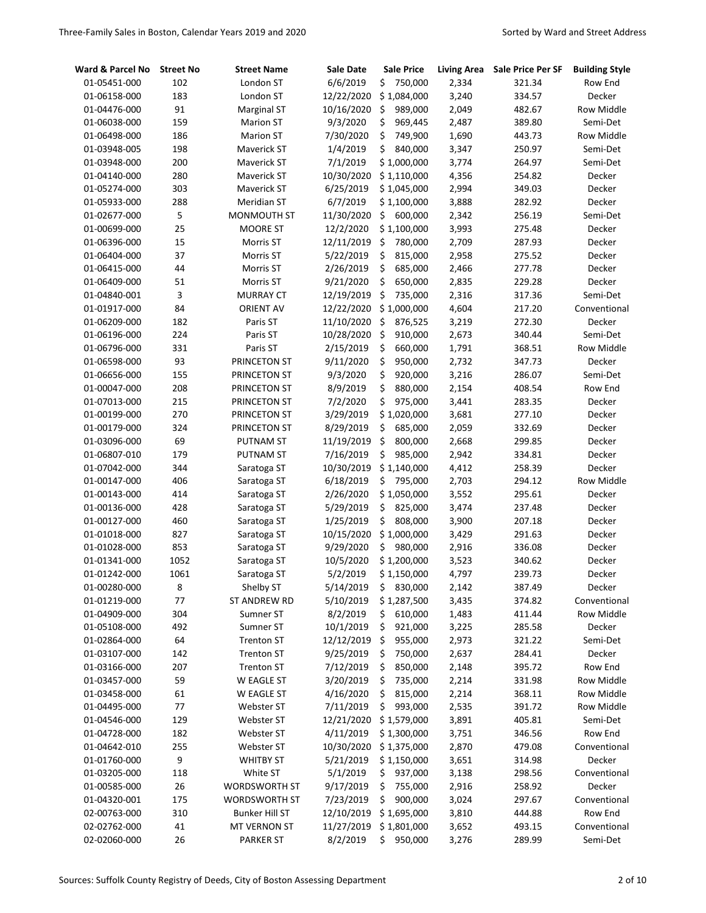| Ward & Parcel No | <b>Street No</b> | <b>Street Name</b>    | Sale Date  | <b>Sale Price</b> | <b>Living Area</b> | <b>Sale Price Per SF</b> | <b>Building Style</b> |
|------------------|------------------|-----------------------|------------|-------------------|--------------------|--------------------------|-----------------------|
| 01-05451-000     | 102              | London ST             | 6/6/2019   | 750,000<br>\$.    | 2,334              | 321.34                   | Row End               |
| 01-06158-000     | 183              | London ST             | 12/22/2020 | \$1,084,000       | 3,240              | 334.57                   | Decker                |
| 01-04476-000     | 91               | <b>Marginal ST</b>    | 10/16/2020 | \$<br>989,000     | 2,049              | 482.67                   | Row Middle            |
| 01-06038-000     | 159              | <b>Marion ST</b>      | 9/3/2020   | \$<br>969,445     | 2,487              | 389.80                   | Semi-Det              |
| 01-06498-000     | 186              | <b>Marion ST</b>      | 7/30/2020  | \$<br>749,900     | 1,690              | 443.73                   | <b>Row Middle</b>     |
| 01-03948-005     | 198              | Maverick ST           | 1/4/2019   | \$<br>840,000     | 3,347              | 250.97                   | Semi-Det              |
| 01-03948-000     | 200              | Maverick ST           | 7/1/2019   | \$1,000,000       | 3,774              | 264.97                   | Semi-Det              |
| 01-04140-000     | 280              | Maverick ST           | 10/30/2020 | \$1,110,000       | 4,356              | 254.82                   | Decker                |
| 01-05274-000     | 303              | Maverick ST           | 6/25/2019  | \$1,045,000       | 2,994              | 349.03                   | Decker                |
| 01-05933-000     | 288              | Meridian ST           | 6/7/2019   | \$1,100,000       | 3,888              | 282.92                   | Decker                |
| 01-02677-000     | 5                | MONMOUTH ST           | 11/30/2020 | \$<br>600,000     | 2,342              | 256.19                   | Semi-Det              |
| 01-00699-000     | 25               | <b>MOORE ST</b>       | 12/2/2020  | \$1,100,000       | 3,993              | 275.48                   | Decker                |
| 01-06396-000     | 15               | Morris ST             | 12/11/2019 | \$<br>780,000     | 2,709              | 287.93                   | Decker                |
| 01-06404-000     | 37               | Morris ST             | 5/22/2019  | \$<br>815,000     | 2,958              | 275.52                   | Decker                |
| 01-06415-000     | 44               | Morris ST             | 2/26/2019  | \$<br>685,000     | 2,466              | 277.78                   | Decker                |
| 01-06409-000     | 51               | Morris ST             | 9/21/2020  | \$<br>650,000     | 2,835              | 229.28                   | Decker                |
| 01-04840-001     | 3                | <b>MURRAY CT</b>      | 12/19/2019 | \$<br>735,000     | 2,316              | 317.36                   | Semi-Det              |
| 01-01917-000     | 84               | <b>ORIENT AV</b>      | 12/22/2020 | \$1,000,000       | 4,604              | 217.20                   | Conventional          |
| 01-06209-000     | 182              | Paris ST              | 11/10/2020 | \$<br>876,525     | 3,219              | 272.30                   | Decker                |
| 01-06196-000     | 224              | Paris ST              | 10/28/2020 | \$<br>910,000     | 2,673              | 340.44                   | Semi-Det              |
| 01-06796-000     | 331              | Paris ST              | 2/15/2019  | \$<br>660,000     | 1,791              | 368.51                   | Row Middle            |
| 01-06598-000     | 93               | PRINCETON ST          | 9/11/2020  | \$<br>950,000     | 2,732              | 347.73                   | Decker                |
| 01-06656-000     | 155              | PRINCETON ST          | 9/3/2020   | \$<br>920,000     | 3,216              | 286.07                   | Semi-Det              |
| 01-00047-000     | 208              | PRINCETON ST          | 8/9/2019   | \$<br>880,000     | 2,154              | 408.54                   | Row End               |
| 01-07013-000     | 215              | PRINCETON ST          | 7/2/2020   | \$<br>975,000     | 3,441              | 283.35                   | Decker                |
| 01-00199-000     | 270              | PRINCETON ST          | 3/29/2019  | \$1,020,000       | 3,681              | 277.10                   | Decker                |
| 01-00179-000     | 324              | PRINCETON ST          | 8/29/2019  | \$<br>685,000     | 2,059              | 332.69                   | Decker                |
| 01-03096-000     | 69               | PUTNAM ST             | 11/19/2019 | \$<br>800,000     | 2,668              | 299.85                   | Decker                |
| 01-06807-010     | 179              | <b>PUTNAM ST</b>      | 7/16/2019  | \$<br>985,000     | 2,942              | 334.81                   | Decker                |
| 01-07042-000     | 344              | Saratoga ST           | 10/30/2019 | \$1,140,000       | 4,412              | 258.39                   | Decker                |
| 01-00147-000     | 406              | Saratoga ST           | 6/18/2019  | \$<br>795,000     | 2,703              | 294.12                   | Row Middle            |
| 01-00143-000     | 414              | Saratoga ST           | 2/26/2020  | \$1,050,000       | 3,552              | 295.61                   | Decker                |
| 01-00136-000     | 428              | Saratoga ST           | 5/29/2019  | \$<br>825,000     | 3,474              | 237.48                   | Decker                |
| 01-00127-000     | 460              | Saratoga ST           | 1/25/2019  | \$<br>808,000     | 3,900              | 207.18                   | Decker                |
| 01-01018-000     | 827              | Saratoga ST           | 10/15/2020 | \$1,000,000       | 3,429              | 291.63                   | Decker                |
| 01-01028-000     | 853              | Saratoga ST           | 9/29/2020  | \$<br>980,000     | 2,916              | 336.08                   | Decker                |
| 01-01341-000     | 1052             | Saratoga ST           | 10/5/2020  | \$1,200,000       | 3,523              | 340.62                   | Decker                |
| 01-01242-000     | 1061             | Saratoga ST           | 5/2/2019   | \$1,150,000       | 4,797              | 239.73                   | Decker                |
| 01-00280-000     | 8                | Shelby ST             | 5/14/2019  | \$<br>830,000     | 2,142              | 387.49                   | Decker                |
| 01-01219-000     | 77               | ST ANDREW RD          | 5/10/2019  | \$1,287,500       | 3,435              | 374.82                   | Conventional          |
| 01-04909-000     | 304              | Sumner ST             | 8/2/2019   | \$<br>610,000     | 1,483              | 411.44                   | <b>Row Middle</b>     |
| 01-05108-000     | 492              | Sumner ST             | 10/1/2019  | \$<br>921,000     | 3,225              | 285.58                   | Decker                |
| 01-02864-000     | 64               | <b>Trenton ST</b>     | 12/12/2019 | \$<br>955,000     | 2,973              | 321.22                   | Semi-Det              |
| 01-03107-000     | 142              | <b>Trenton ST</b>     | 9/25/2019  | \$<br>750,000     | 2,637              | 284.41                   | Decker                |
| 01-03166-000     | 207              | <b>Trenton ST</b>     | 7/12/2019  | \$<br>850,000     | 2,148              | 395.72                   | Row End               |
| 01-03457-000     | 59               | W EAGLE ST            | 3/20/2019  | \$<br>735,000     | 2,214              | 331.98                   | Row Middle            |
| 01-03458-000     | 61               | W EAGLE ST            | 4/16/2020  | \$<br>815,000     | 2,214              | 368.11                   | Row Middle            |
| 01-04495-000     | 77               | Webster ST            | 7/11/2019  | \$<br>993,000     | 2,535              | 391.72                   | <b>Row Middle</b>     |
| 01-04546-000     | 129              | Webster ST            | 12/21/2020 | \$1,579,000       | 3,891              | 405.81                   | Semi-Det              |
| 01-04728-000     | 182              | Webster ST            | 4/11/2019  | \$1,300,000       | 3,751              | 346.56                   | Row End               |
| 01-04642-010     | 255              | Webster ST            | 10/30/2020 | \$1,375,000       | 2,870              | 479.08                   | Conventional          |
| 01-01760-000     | 9                | <b>WHITBY ST</b>      | 5/21/2019  | \$1,150,000       | 3,651              | 314.98                   | Decker                |
| 01-03205-000     | 118              | White ST              | 5/1/2019   | 937,000<br>\$.    | 3,138              | 298.56                   | Conventional          |
| 01-00585-000     | 26               | WORDSWORTH ST         | 9/17/2019  | \$<br>755,000     | 2,916              | 258.92                   | Decker                |
| 01-04320-001     | 175              | <b>WORDSWORTH ST</b>  | 7/23/2019  | \$<br>900,000     | 3,024              | 297.67                   | Conventional          |
| 02-00763-000     | 310              | <b>Bunker Hill ST</b> | 12/10/2019 | \$1,695,000       | 3,810              | 444.88                   | Row End               |
| 02-02762-000     | 41               | MT VERNON ST          | 11/27/2019 | \$1,801,000       | 3,652              | 493.15                   | Conventional          |
| 02-02060-000     | 26               | <b>PARKER ST</b>      | 8/2/2019   | \$950,000         | 3,276              | 289.99                   | Semi-Det              |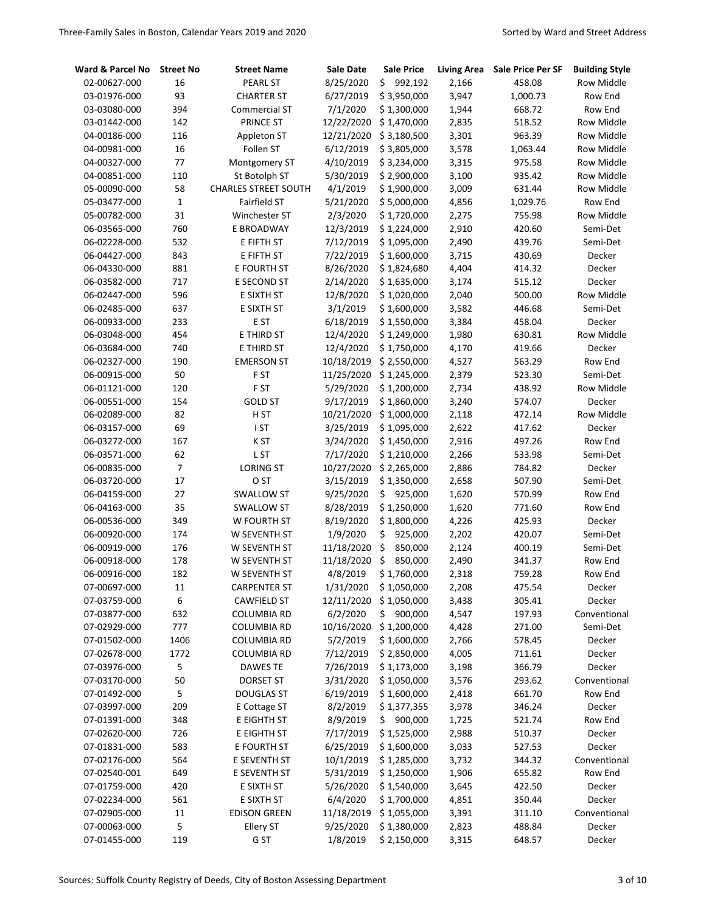| Ward & Parcel No | <b>Street No</b> | <b>Street Name</b>          | Sale Date  | <b>Sale Price</b> | <b>Living Area</b> | <b>Sale Price Per SF</b> | <b>Building Style</b> |
|------------------|------------------|-----------------------------|------------|-------------------|--------------------|--------------------------|-----------------------|
| 02-00627-000     | 16               | <b>PEARL ST</b>             | 8/25/2020  | 992,192<br>\$.    | 2,166              | 458.08                   | Row Middle            |
| 03-01976-000     | 93               | <b>CHARTER ST</b>           | 6/27/2019  | \$3,950,000       | 3,947              | 1,000.73                 | Row End               |
| 03-03080-000     | 394              | <b>Commercial ST</b>        | 7/1/2020   | \$1,300,000       | 1,944              | 668.72                   | Row End               |
| 03-01442-000     | 142              | PRINCE ST                   | 12/22/2020 | \$1,470,000       | 2,835              | 518.52                   | Row Middle            |
| 04-00186-000     | 116              | Appleton ST                 | 12/21/2020 | \$3,180,500       | 3,301              | 963.39                   | Row Middle            |
| 04-00981-000     | 16               | Follen ST                   | 6/12/2019  | \$3,805,000       | 3,578              | 1,063.44                 | Row Middle            |
| 04-00327-000     | 77               | Montgomery ST               | 4/10/2019  | \$3,234,000       | 3,315              | 975.58                   | Row Middle            |
| 04-00851-000     | 110              | St Botolph ST               | 5/30/2019  | \$2,900,000       | 3,100              | 935.42                   | <b>Row Middle</b>     |
| 05-00090-000     | 58               | <b>CHARLES STREET SOUTH</b> | 4/1/2019   | \$1,900,000       | 3,009              | 631.44                   | Row Middle            |
| 05-03477-000     | $\mathbf{1}$     | Fairfield ST                | 5/21/2020  | \$5,000,000       | 4,856              | 1,029.76                 | Row End               |
| 05-00782-000     | 31               | Winchester ST               | 2/3/2020   | \$1,720,000       | 2,275              | 755.98                   | <b>Row Middle</b>     |
| 06-03565-000     | 760              | E BROADWAY                  | 12/3/2019  | \$1,224,000       | 2,910              | 420.60                   | Semi-Det              |
| 06-02228-000     | 532              | E FIFTH ST                  | 7/12/2019  | \$1,095,000       | 2,490              | 439.76                   | Semi-Det              |
| 06-04427-000     | 843              | E FIFTH ST                  | 7/22/2019  | \$1,600,000       | 3,715              | 430.69                   | Decker                |
| 06-04330-000     | 881              | E FOURTH ST                 | 8/26/2020  | \$1,824,680       | 4,404              | 414.32                   | Decker                |
| 06-03582-000     | 717              | E SECOND ST                 | 2/14/2020  | \$1,635,000       | 3,174              | 515.12                   | Decker                |
| 06-02447-000     | 596              | E SIXTH ST                  | 12/8/2020  | \$1,020,000       | 2,040              | 500.00                   | Row Middle            |
| 06-02485-000     | 637              | E SIXTH ST                  | 3/1/2019   | \$1,600,000       | 3,582              | 446.68                   | Semi-Det              |
| 06-00933-000     | 233              | E ST                        | 6/18/2019  | \$1,550,000       | 3,384              | 458.04                   | Decker                |
| 06-03048-000     | 454              | E THIRD ST                  | 12/4/2020  | \$1,249,000       | 1,980              | 630.81                   | Row Middle            |
| 06-03684-000     | 740              | E THIRD ST                  | 12/4/2020  | \$1,750,000       | 4,170              | 419.66                   | Decker                |
| 06-02327-000     | 190              | <b>EMERSON ST</b>           | 10/18/2019 | \$2,550,000       | 4,527              | 563.29                   | Row End               |
| 06-00915-000     | 50               | F ST                        | 11/25/2020 | \$1,245,000       | 2,379              | 523.30                   | Semi-Det              |
| 06-01121-000     | 120              | F <sub>ST</sub>             | 5/29/2020  | \$1,200,000       | 2,734              | 438.92                   | <b>Row Middle</b>     |
| 06-00551-000     | 154              | <b>GOLD ST</b>              | 9/17/2019  | \$1,860,000       | 3,240              | 574.07                   | Decker                |
| 06-02089-000     | 82               | H <sub>ST</sub>             | 10/21/2020 | \$1,000,000       | 2,118              | 472.14                   | Row Middle            |
| 06-03157-000     | 69               | I ST                        | 3/25/2019  | \$1,095,000       | 2,622              | 417.62                   | Decker                |
| 06-03272-000     | 167              | K ST                        | 3/24/2020  | \$1,450,000       | 2,916              | 497.26                   | Row End               |
| 06-03571-000     | 62               | L <sub>ST</sub>             | 7/17/2020  | \$1,210,000       | 2,266              | 533.98                   | Semi-Det              |
| 06-00835-000     | 7                | <b>LORING ST</b>            | 10/27/2020 | \$2,265,000       | 2,886              | 784.82                   | Decker                |
| 06-03720-000     | 17               | O <sub>ST</sub>             | 3/15/2019  | \$1,350,000       | 2,658              | 507.90                   | Semi-Det              |
| 06-04159-000     | 27               | <b>SWALLOW ST</b>           | 9/25/2020  | \$925,000         | 1,620              | 570.99                   | Row End               |
| 06-04163-000     | 35               | <b>SWALLOW ST</b>           | 8/28/2019  | \$1,250,000       | 1,620              | 771.60                   | Row End               |
| 06-00536-000     | 349              | W FOURTH ST                 | 8/19/2020  | \$1,800,000       | 4,226              | 425.93                   | Decker                |
| 06-00920-000     | 174              | W SEVENTH ST                | 1/9/2020   | \$<br>925,000     | 2,202              | 420.07                   | Semi-Det              |
| 06-00919-000     | 176              | W SEVENTH ST                | 11/18/2020 | \$<br>850,000     | 2,124              | 400.19                   | Semi-Det              |
| 06-00918-000     | 178              | W SEVENTH ST                | 11/18/2020 | \$<br>850,000     | 2,490              | 341.37                   | Row End               |
| 06-00916-000     | 182              | W SEVENTH ST                | 4/8/2019   | \$1,760,000       | 2,318              | 759.28                   | Row End               |
| 07-00697-000     | 11               | <b>CARPENTER ST</b>         | 1/31/2020  | \$1,050,000       | 2,208              | 475.54                   | Decker                |
| 07-03759-000     | 6                | <b>CAWFIELD ST</b>          | 12/11/2020 | \$1,050,000       | 3,438              | 305.41                   | Decker                |
| 07-03877-000     | 632              | COLUMBIA RD                 | 6/2/2020   | \$900,000         | 4,547              | 197.93                   | Conventional          |
| 07-02929-000     | 777              | <b>COLUMBIA RD</b>          | 10/16/2020 | \$1,200,000       | 4,428              | 271.00                   | Semi-Det              |
| 07-01502-000     | 1406             | <b>COLUMBIA RD</b>          | 5/2/2019   | \$1,600,000       | 2,766              | 578.45                   | Decker                |
| 07-02678-000     | 1772             | <b>COLUMBIA RD</b>          | 7/12/2019  | \$2,850,000       | 4,005              | 711.61                   | Decker                |
| 07-03976-000     | 5                | <b>DAWES TE</b>             | 7/26/2019  | \$1,173,000       | 3,198              | 366.79                   | Decker                |
| 07-03170-000     | 50               | DORSET ST                   | 3/31/2020  | \$1,050,000       | 3,576              | 293.62                   | Conventional          |
| 07-01492-000     | 5                | <b>DOUGLAS ST</b>           | 6/19/2019  | \$1,600,000       | 2,418              | 661.70                   | Row End               |
| 07-03997-000     | 209              | E Cottage ST                | 8/2/2019   | \$1,377,355       | 3,978              | 346.24                   | Decker                |
| 07-01391-000     | 348              | E EIGHTH ST                 | 8/9/2019   | \$900,000         | 1,725              | 521.74                   | Row End               |
| 07-02620-000     | 726              | E EIGHTH ST                 | 7/17/2019  | \$1,525,000       | 2,988              | 510.37                   | Decker                |
| 07-01831-000     | 583              | E FOURTH ST                 | 6/25/2019  | \$1,600,000       | 3,033              | 527.53                   | Decker                |
| 07-02176-000     | 564              | E SEVENTH ST                | 10/1/2019  | \$1,285,000       | 3,732              | 344.32                   | Conventional          |
| 07-02540-001     | 649              | E SEVENTH ST                | 5/31/2019  | \$1,250,000       | 1,906              | 655.82                   | Row End               |
| 07-01759-000     | 420              | E SIXTH ST                  | 5/26/2020  | \$1,540,000       | 3,645              | 422.50                   | Decker                |
| 07-02234-000     | 561              | E SIXTH ST                  | 6/4/2020   | \$1,700,000       | 4,851              | 350.44                   | Decker                |
| 07-02905-000     | $11\,$           | <b>EDISON GREEN</b>         | 11/18/2019 | \$1,055,000       | 3,391              | 311.10                   | Conventional          |
| 07-00063-000     | 5                | <b>Ellery ST</b>            | 9/25/2020  | \$1,380,000       | 2,823              | 488.84                   | Decker                |
| 07-01455-000     | 119              | G ST                        | 1/8/2019   | \$2,150,000       | 3,315              | 648.57                   | Decker                |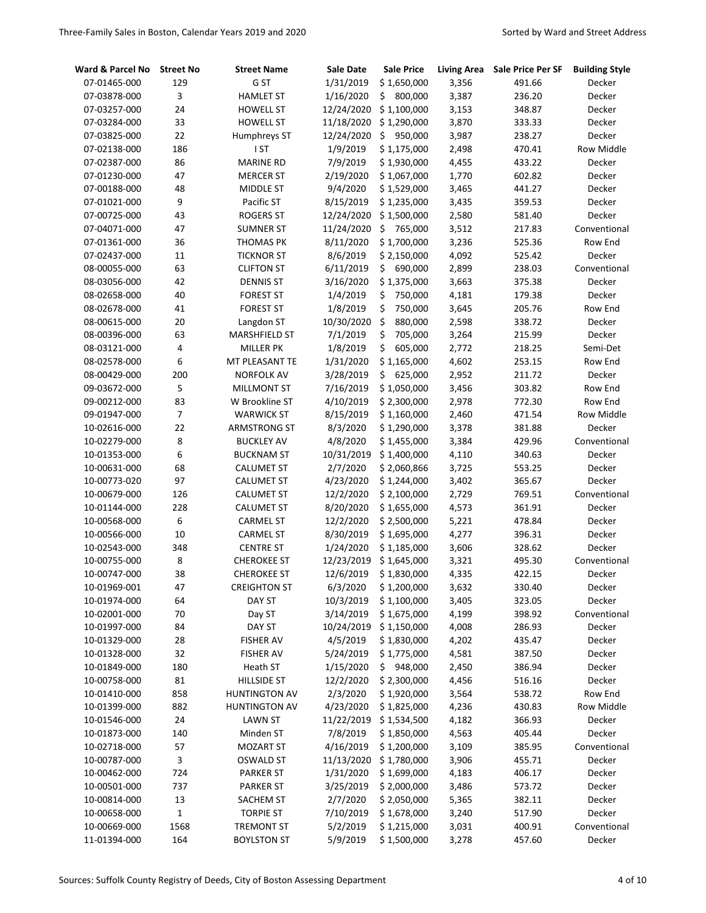| Ward & Parcel No | <b>Street No</b> | <b>Street Name</b>   | <b>Sale Date</b> | <b>Sale Price</b> | <b>Living Area</b> | Sale Price Per SF | <b>Building Style</b> |
|------------------|------------------|----------------------|------------------|-------------------|--------------------|-------------------|-----------------------|
| 07-01465-000     | 129              | G ST                 | 1/31/2019        | \$1,650,000       | 3,356              | 491.66            | Decker                |
| 07-03878-000     | 3                | <b>HAMLET ST</b>     | 1/16/2020        | \$.<br>800,000    | 3,387              | 236.20            | Decker                |
| 07-03257-000     | 24               | <b>HOWELL ST</b>     | 12/24/2020       | \$1,100,000       | 3,153              | 348.87            | Decker                |
| 07-03284-000     | 33               | <b>HOWELL ST</b>     | 11/18/2020       | \$1,290,000       | 3,870              | 333.33            | Decker                |
| 07-03825-000     | 22               | Humphreys ST         | 12/24/2020       | \$<br>950,000     | 3,987              | 238.27            | Decker                |
| 07-02138-000     | 186              | I ST                 | 1/9/2019         | \$1,175,000       | 2,498              | 470.41            | Row Middle            |
| 07-02387-000     | 86               | <b>MARINE RD</b>     | 7/9/2019         | \$1,930,000       | 4,455              | 433.22            | Decker                |
| 07-01230-000     | 47               | <b>MERCER ST</b>     | 2/19/2020        | \$1,067,000       | 1,770              | 602.82            | Decker                |
| 07-00188-000     | 48               | <b>MIDDLE ST</b>     | 9/4/2020         | \$1,529,000       | 3,465              | 441.27            | Decker                |
| 07-01021-000     | 9                | Pacific ST           | 8/15/2019        | \$1,235,000       | 3,435              | 359.53            | Decker                |
| 07-00725-000     | 43               | <b>ROGERS ST</b>     | 12/24/2020       | \$1,500,000       | 2,580              | 581.40            | Decker                |
| 07-04071-000     | 47               | <b>SUMNER ST</b>     | 11/24/2020       | \$<br>765,000     | 3,512              | 217.83            | Conventional          |
| 07-01361-000     | 36               | <b>THOMAS PK</b>     | 8/11/2020        | \$1,700,000       | 3,236              | 525.36            | Row End               |
| 07-02437-000     | $11\,$           | <b>TICKNOR ST</b>    | 8/6/2019         | \$2,150,000       | 4,092              | 525.42            | Decker                |
| 08-00055-000     | 63               | <b>CLIFTON ST</b>    | 6/11/2019        | \$<br>690,000     | 2,899              | 238.03            | Conventional          |
| 08-03056-000     | 42               | <b>DENNIS ST</b>     | 3/16/2020        | \$1,375,000       | 3,663              | 375.38            | Decker                |
| 08-02658-000     | 40               | <b>FOREST ST</b>     | 1/4/2019         | \$<br>750,000     | 4,181              | 179.38            | Decker                |
| 08-02678-000     | 41               | <b>FOREST ST</b>     | 1/8/2019         | \$<br>750,000     | 3,645              | 205.76            | Row End               |
| 08-00615-000     | 20               | Langdon ST           | 10/30/2020       | \$<br>880,000     | 2,598              | 338.72            | Decker                |
| 08-00396-000     | 63               | MARSHFIELD ST        | 7/1/2019         | \$<br>705,000     | 3,264              | 215.99            | Decker                |
| 08-03121-000     | 4                | <b>MILLER PK</b>     | 1/8/2019         | \$<br>605,000     | 2,772              | 218.25            | Semi-Det              |
| 08-02578-000     | 6                | MT PLEASANT TE       | 1/31/2020        | \$1,165,000       | 4,602              | 253.15            | Row End               |
| 08-00429-000     | 200              | <b>NORFOLK AV</b>    | 3/28/2019        | \$<br>625,000     | 2,952              | 211.72            | Decker                |
| 09-03672-000     | 5                | <b>MILLMONT ST</b>   | 7/16/2019        | \$1,050,000       | 3,456              | 303.82            | Row End               |
| 09-00212-000     | 83               | W Brookline ST       | 4/10/2019        | \$2,300,000       | 2,978              | 772.30            | Row End               |
| 09-01947-000     | $\overline{7}$   | <b>WARWICK ST</b>    | 8/15/2019        | \$1,160,000       | 2,460              | 471.54            | Row Middle            |
| 10-02616-000     | 22               | <b>ARMSTRONG ST</b>  | 8/3/2020         | \$1,290,000       | 3,378              | 381.88            | Decker                |
| 10-02279-000     | 8                | <b>BUCKLEY AV</b>    | 4/8/2020         | \$1,455,000       | 3,384              | 429.96            | Conventional          |
| 10-01353-000     | 6                | <b>BUCKNAM ST</b>    | 10/31/2019       | \$1,400,000       | 4,110              | 340.63            | Decker                |
| 10-00631-000     | 68               | <b>CALUMET ST</b>    | 2/7/2020         | \$2,060,866       | 3,725              | 553.25            | Decker                |
| 10-00773-020     | 97               | <b>CALUMET ST</b>    | 4/23/2020        | \$1,244,000       | 3,402              | 365.67            | Decker                |
| 10-00679-000     | 126              | <b>CALUMET ST</b>    | 12/2/2020        | \$2,100,000       | 2,729              | 769.51            | Conventional          |
| 10-01144-000     | 228              | <b>CALUMET ST</b>    | 8/20/2020        | \$1,655,000       | 4,573              | 361.91            | Decker                |
| 10-00568-000     | 6                | <b>CARMEL ST</b>     | 12/2/2020        | \$2,500,000       | 5,221              | 478.84            | Decker                |
| 10-00566-000     | 10               | <b>CARMEL ST</b>     | 8/30/2019        | \$1,695,000       | 4,277              | 396.31            | Decker                |
| 10-02543-000     | 348              | <b>CENTRE ST</b>     | 1/24/2020        | \$1,185,000       | 3,606              | 328.62            | Decker                |
| 10-00755-000     | 8                | <b>CHEROKEE ST</b>   | 12/23/2019       | \$1,645,000       | 3,321              | 495.30            | Conventional          |
| 10-00747-000     | 38               | <b>CHEROKEE ST</b>   | 12/6/2019        | \$1,830,000       | 4,335              | 422.15            | Decker                |
| 10-01969-001     | 47               | <b>CREIGHTON ST</b>  | 6/3/2020         | \$1,200,000       | 3,632              | 330.40            | Decker                |
| 10-01974-000     | 64               | DAY ST               | 10/3/2019        | \$1,100,000       | 3,405              | 323.05            | Decker                |
| 10-02001-000     | 70               | Day ST               | 3/14/2019        | \$1,675,000       | 4,199              | 398.92            | Conventional          |
| 10-01997-000     | 84               | DAY ST               | 10/24/2019       | \$1,150,000       | 4,008              | 286.93            | Decker                |
| 10-01329-000     | 28               | <b>FISHER AV</b>     | 4/5/2019         | \$1,830,000       | 4,202              | 435.47            | Decker                |
| 10-01328-000     | 32               | <b>FISHER AV</b>     | 5/24/2019        | \$1,775,000       | 4,581              | 387.50            | Decker                |
| 10-01849-000     | 180              | Heath ST             | 1/15/2020        | \$948,000         | 2,450              | 386.94            | Decker                |
| 10-00758-000     | 81               | <b>HILLSIDE ST</b>   | 12/2/2020        | \$2,300,000       | 4,456              | 516.16            | Decker                |
| 10-01410-000     | 858              | <b>HUNTINGTON AV</b> | 2/3/2020         | \$1,920,000       | 3,564              | 538.72            | Row End               |
| 10-01399-000     | 882              | <b>HUNTINGTON AV</b> | 4/23/2020        | \$1,825,000       | 4,236              | 430.83            | Row Middle            |
| 10-01546-000     | 24               | <b>LAWN ST</b>       | 11/22/2019       | \$1,534,500       | 4,182              | 366.93            | Decker                |
| 10-01873-000     | 140              | Minden ST            | 7/8/2019         | \$1,850,000       | 4,563              | 405.44            | Decker                |
| 10-02718-000     | 57               | <b>MOZART ST</b>     | 4/16/2019        | \$1,200,000       | 3,109              | 385.95            | Conventional          |
| 10-00787-000     | 3                | <b>OSWALD ST</b>     | 11/13/2020       | \$1,780,000       | 3,906              | 455.71            | Decker                |
| 10-00462-000     | 724              | <b>PARKER ST</b>     | 1/31/2020        | \$1,699,000       | 4,183              | 406.17            | Decker                |
| 10-00501-000     | 737              | <b>PARKER ST</b>     | 3/25/2019        | \$2,000,000       | 3,486              | 573.72            | Decker                |
| 10-00814-000     | 13               | <b>SACHEM ST</b>     | 2/7/2020         | \$2,050,000       | 5,365              | 382.11            | Decker                |
| 10-00658-000     | $\mathbf{1}$     | <b>TORPIE ST</b>     | 7/10/2019        | \$1,678,000       | 3,240              | 517.90            | Decker                |
| 10-00669-000     | 1568             | <b>TREMONT ST</b>    | 5/2/2019         | \$1,215,000       | 3,031              | 400.91            | Conventional          |
| 11-01394-000     | 164              | <b>BOYLSTON ST</b>   | 5/9/2019         | \$1,500,000       | 3,278              | 457.60            | Decker                |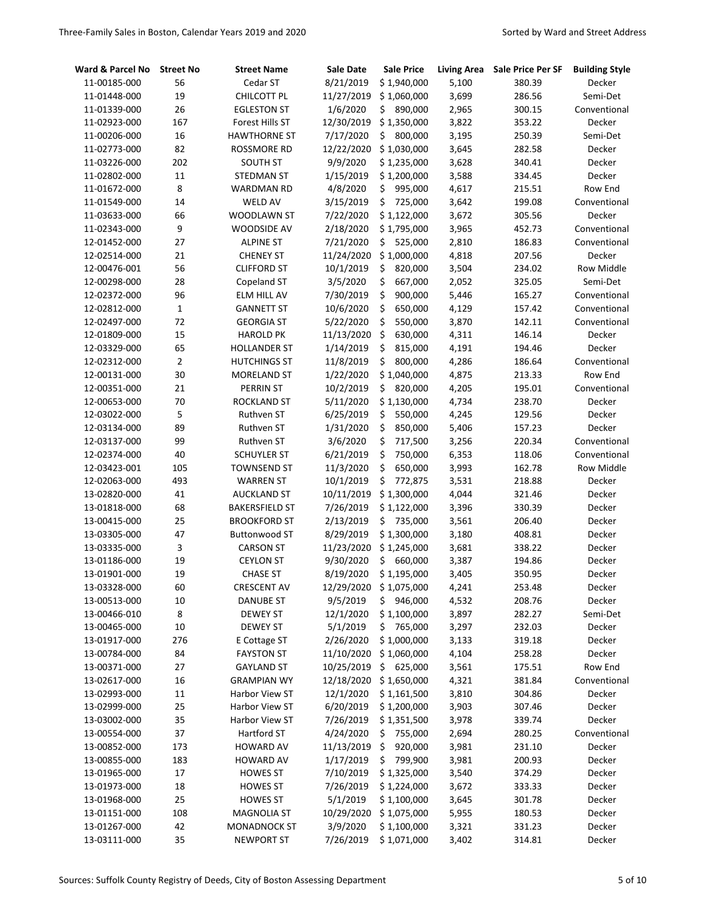| Ward & Parcel No | <b>Street No</b> | <b>Street Name</b>    | Sale Date              | <b>Sale Price</b> | <b>Living Area</b> | <b>Sale Price Per SF</b> | <b>Building Style</b> |
|------------------|------------------|-----------------------|------------------------|-------------------|--------------------|--------------------------|-----------------------|
| 11-00185-000     | 56               | Cedar ST              | 8/21/2019              | \$1,940,000       | 5,100              | 380.39                   | Decker                |
| 11-01448-000     | 19               | CHILCOTT PL           | 11/27/2019             | \$1,060,000       | 3,699              | 286.56                   | Semi-Det              |
| 11-01339-000     | 26               | <b>EGLESTON ST</b>    | 1/6/2020               | \$890,000         | 2,965              | 300.15                   | Conventional          |
| 11-02923-000     | 167              | Forest Hills ST       | 12/30/2019             | \$1,350,000       | 3,822              | 353.22                   | Decker                |
| 11-00206-000     | 16               | <b>HAWTHORNE ST</b>   | 7/17/2020              | \$.<br>800,000    | 3,195              | 250.39                   | Semi-Det              |
| 11-02773-000     | 82               | <b>ROSSMORE RD</b>    | 12/22/2020             | \$1,030,000       | 3,645              | 282.58                   | Decker                |
| 11-03226-000     | 202              | <b>SOUTH ST</b>       | 9/9/2020               | \$1,235,000       | 3,628              | 340.41                   | Decker                |
| 11-02802-000     | $11\,$           | <b>STEDMAN ST</b>     | 1/15/2019              | \$1,200,000       | 3,588              | 334.45                   | Decker                |
| 11-01672-000     | 8                | <b>WARDMAN RD</b>     | 4/8/2020               | \$<br>995,000     | 4,617              | 215.51                   | Row End               |
| 11-01549-000     | 14               | <b>WELD AV</b>        | 3/15/2019              | \$<br>725,000     | 3,642              | 199.08                   | Conventional          |
| 11-03633-000     | 66               | WOODLAWN ST           | 7/22/2020              | \$1,122,000       | 3,672              | 305.56                   | Decker                |
| 11-02343-000     | 9                | WOODSIDE AV           | 2/18/2020              | \$1,795,000       | 3,965              | 452.73                   | Conventional          |
| 12-01452-000     | 27               | <b>ALPINE ST</b>      | 7/21/2020              | \$<br>525,000     | 2,810              | 186.83                   | Conventional          |
| 12-02514-000     | 21               | <b>CHENEY ST</b>      | 11/24/2020             | \$1,000,000       | 4,818              | 207.56                   | Decker                |
| 12-00476-001     | 56               | <b>CLIFFORD ST</b>    | 10/1/2019              | \$<br>820,000     | 3,504              | 234.02                   | Row Middle            |
| 12-00298-000     | 28               | Copeland ST           | 3/5/2020               | \$<br>667,000     | 2,052              | 325.05                   | Semi-Det              |
| 12-02372-000     | 96               | ELM HILL AV           | 7/30/2019              | \$<br>900,000     | 5,446              | 165.27                   | Conventional          |
| 12-02812-000     | $\mathbf{1}$     | <b>GANNETT ST</b>     | 10/6/2020              | \$<br>650,000     | 4,129              | 157.42                   | Conventional          |
| 12-02497-000     | 72               | <b>GEORGIA ST</b>     | 5/22/2020              | \$<br>550,000     | 3,870              | 142.11                   | Conventional          |
| 12-01809-000     | 15               | <b>HAROLD PK</b>      | 11/13/2020             | \$<br>630,000     | 4,311              | 146.14                   | Decker                |
| 12-03329-000     | 65               | <b>HOLLANDER ST</b>   | 1/14/2019              | \$<br>815,000     | 4,191              | 194.46                   | Decker                |
| 12-02312-000     | $\overline{2}$   | <b>HUTCHINGS ST</b>   | 11/8/2019              | \$<br>800,000     | 4,286              | 186.64                   | Conventional          |
| 12-00131-000     | 30               | <b>MORELAND ST</b>    | 1/22/2020              | \$1,040,000       | 4,875              | 213.33                   | Row End               |
| 12-00351-000     | 21               | PERRIN ST             | 10/2/2019              | \$<br>820,000     | 4,205              | 195.01                   | Conventional          |
| 12-00653-000     | 70               | <b>ROCKLAND ST</b>    | 5/11/2020              | \$1,130,000       | 4,734              | 238.70                   | Decker                |
| 12-03022-000     | 5                | Ruthven ST            | 6/25/2019              | \$<br>550,000     | 4,245              | 129.56                   | Decker                |
| 12-03134-000     | 89               | Ruthven ST            | 1/31/2020              | \$<br>850,000     | 5,406              | 157.23                   | Decker                |
| 12-03137-000     | 99               | Ruthven ST            | 3/6/2020               | \$<br>717,500     | 3,256              | 220.34                   | Conventional          |
| 12-02374-000     | 40               | <b>SCHUYLER ST</b>    | 6/21/2019              | \$<br>750,000     | 6,353              | 118.06                   | Conventional          |
| 12-03423-001     | 105              | <b>TOWNSEND ST</b>    | 11/3/2020              | \$<br>650,000     | 3,993              | 162.78                   | Row Middle            |
| 12-02063-000     | 493              | <b>WARREN ST</b>      | 10/1/2019              | \$<br>772,875     | 3,531              | 218.88                   | Decker                |
| 13-02820-000     | 41               | <b>AUCKLAND ST</b>    | 10/11/2019             | \$1,300,000       | 4,044              | 321.46                   | Decker                |
| 13-01818-000     | 68               | <b>BAKERSFIELD ST</b> | 7/26/2019              | \$1,122,000       | 3,396              | 330.39                   | Decker                |
| 13-00415-000     | 25               | <b>BROOKFORD ST</b>   | 2/13/2019              | \$<br>735,000     | 3,561              | 206.40                   | Decker                |
| 13-03305-000     | 47               | <b>Buttonwood ST</b>  | 8/29/2019              | \$1,300,000       | 3,180              | 408.81                   | Decker                |
| 13-03335-000     | 3                | CARSON ST             | 11/23/2020             | \$1,245,000       | 3,681              | 338.22                   | Decker                |
| 13-01186-000     | 19               | <b>CEYLON ST</b>      | 9/30/2020              | \$<br>660,000     | 3,387              | 194.86                   | Decker                |
| 13-01901-000     | 19               | <b>CHASE ST</b>       | 8/19/2020              | \$1,195,000       | 3,405              | 350.95                   | Decker                |
| 13-03328-000     | 60               | <b>CRESCENT AV</b>    | 12/29/2020 \$1,075,000 |                   | 4,241              | 253.48                   | Decker                |
| 13-00513-000     | $10\,$           | <b>DANUBE ST</b>      | 9/5/2019               | \$946,000         | 4,532              | 208.76                   | Decker                |
| 13-00466-010     | 8                | <b>DEWEY ST</b>       | 12/1/2020              | \$1,100,000       | 3,897              | 282.27                   | Semi-Det              |
| 13-00465-000     | 10               | <b>DEWEY ST</b>       | 5/1/2019               | \$765,000         | 3,297              | 232.03                   | Decker                |
| 13-01917-000     | 276              | E Cottage ST          | 2/26/2020              | \$1,000,000       | 3,133              | 319.18                   | Decker                |
| 13-00784-000     | 84               | <b>FAYSTON ST</b>     | 11/10/2020             | \$1,060,000       | 4,104              | 258.28                   | Decker                |
| 13-00371-000     | 27               | <b>GAYLAND ST</b>     | 10/25/2019             | \$625,000         | 3,561              | 175.51                   | Row End               |
| 13-02617-000     | 16               | <b>GRAMPIAN WY</b>    | 12/18/2020             | \$1,650,000       | 4,321              | 381.84                   | Conventional          |
| 13-02993-000     | 11               | Harbor View ST        | 12/1/2020              | \$1,161,500       | 3,810              | 304.86                   | Decker                |
| 13-02999-000     | 25               | Harbor View ST        | 6/20/2019              | \$1,200,000       | 3,903              | 307.46                   | Decker                |
| 13-03002-000     | 35               | Harbor View ST        | 7/26/2019              | \$1,351,500       | 3,978              | 339.74                   | Decker                |
| 13-00554-000     | 37               | Hartford ST           | 4/24/2020              | \$<br>755,000     | 2,694              | 280.25                   | Conventional          |
| 13-00852-000     | 173              | <b>HOWARD AV</b>      | 11/13/2019 \$          | 920,000           | 3,981              | 231.10                   | Decker                |
| 13-00855-000     | 183              | <b>HOWARD AV</b>      | 1/17/2019              | \$<br>799,900     | 3,981              | 200.93                   | Decker                |
| 13-01965-000     | 17               | <b>HOWES ST</b>       | 7/10/2019              | \$1,325,000       | 3,540              | 374.29                   | Decker                |
| 13-01973-000     | 18               | <b>HOWES ST</b>       | 7/26/2019              | \$1,224,000       | 3,672              | 333.33                   | Decker                |
| 13-01968-000     | 25               | <b>HOWES ST</b>       | 5/1/2019               | \$1,100,000       | 3,645              | 301.78                   | Decker                |
| 13-01151-000     | 108              | MAGNOLIA ST           | 10/29/2020             | \$1,075,000       | 5,955              | 180.53                   | Decker                |
| 13-01267-000     | 42               | <b>MONADNOCK ST</b>   | 3/9/2020               | \$1,100,000       | 3,321              | 331.23                   | Decker                |
| 13-03111-000     | 35               | <b>NEWPORT ST</b>     | 7/26/2019              | \$1,071,000       | 3,402              | 314.81                   | Decker                |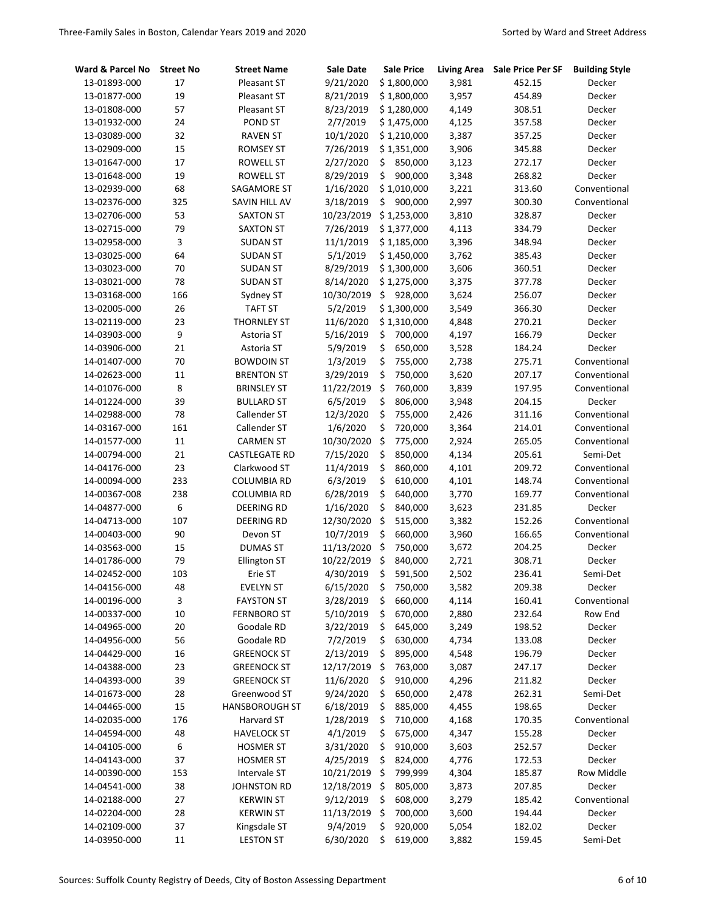| Ward & Parcel No | <b>Street No</b> | <b>Street Name</b>    | Sale Date  | <b>Sale Price</b> | <b>Living Area</b> | <b>Sale Price Per SF</b> | <b>Building Style</b> |
|------------------|------------------|-----------------------|------------|-------------------|--------------------|--------------------------|-----------------------|
| 13-01893-000     | 17               | Pleasant ST           | 9/21/2020  | \$1,800,000       | 3,981              | 452.15                   | Decker                |
| 13-01877-000     | 19               | Pleasant ST           | 8/21/2019  | \$1,800,000       | 3,957              | 454.89                   | Decker                |
| 13-01808-000     | 57               | Pleasant ST           | 8/23/2019  | \$1,280,000       | 4,149              | 308.51                   | Decker                |
| 13-01932-000     | 24               | POND ST               | 2/7/2019   | \$1,475,000       | 4,125              | 357.58                   | Decker                |
| 13-03089-000     | 32               | <b>RAVEN ST</b>       | 10/1/2020  | \$1,210,000       | 3,387              | 357.25                   | Decker                |
| 13-02909-000     | 15               | <b>ROMSEY ST</b>      | 7/26/2019  | \$1,351,000       | 3,906              | 345.88                   | Decker                |
| 13-01647-000     | 17               | <b>ROWELL ST</b>      | 2/27/2020  | \$<br>850,000     | 3,123              | 272.17                   | Decker                |
| 13-01648-000     | 19               | <b>ROWELL ST</b>      | 8/29/2019  | \$<br>900,000     | 3,348              | 268.82                   | Decker                |
| 13-02939-000     | 68               | SAGAMORE ST           | 1/16/2020  | \$1,010,000       | 3,221              | 313.60                   | Conventional          |
| 13-02376-000     | 325              | SAVIN HILL AV         | 3/18/2019  | \$<br>900,000     | 2,997              | 300.30                   | Conventional          |
| 13-02706-000     | 53               | <b>SAXTON ST</b>      | 10/23/2019 | \$1,253,000       | 3,810              | 328.87                   | Decker                |
| 13-02715-000     | 79               | <b>SAXTON ST</b>      | 7/26/2019  | \$1,377,000       | 4,113              | 334.79                   | Decker                |
| 13-02958-000     | 3                | <b>SUDAN ST</b>       | 11/1/2019  | \$1,185,000       | 3,396              | 348.94                   | Decker                |
| 13-03025-000     | 64               | SUDAN ST              | 5/1/2019   | \$1,450,000       | 3,762              | 385.43                   | Decker                |
| 13-03023-000     | 70               | <b>SUDAN ST</b>       | 8/29/2019  | \$1,300,000       | 3,606              | 360.51                   | Decker                |
| 13-03021-000     | 78               | <b>SUDAN ST</b>       | 8/14/2020  | \$1,275,000       | 3,375              | 377.78                   | Decker                |
| 13-03168-000     | 166              | Sydney ST             | 10/30/2019 | \$<br>928,000     | 3,624              | 256.07                   | Decker                |
| 13-02005-000     | 26               | <b>TAFT ST</b>        | 5/2/2019   | \$1,300,000       | 3,549              | 366.30                   | Decker                |
| 13-02119-000     | 23               | <b>THORNLEY ST</b>    | 11/6/2020  | \$1,310,000       | 4,848              | 270.21                   | Decker                |
| 14-03903-000     | 9                | Astoria ST            | 5/16/2019  | \$<br>700,000     | 4,197              | 166.79                   | Decker                |
| 14-03906-000     | 21               | Astoria ST            | 5/9/2019   | \$<br>650,000     | 3,528              | 184.24                   | Decker                |
| 14-01407-000     | 70               | <b>BOWDOIN ST</b>     | 1/3/2019   | \$<br>755,000     | 2,738              | 275.71                   | Conventional          |
| 14-02623-000     | 11               | <b>BRENTON ST</b>     | 3/29/2019  | \$<br>750,000     | 3,620              | 207.17                   | Conventional          |
| 14-01076-000     | 8                | <b>BRINSLEY ST</b>    | 11/22/2019 | \$<br>760,000     | 3,839              | 197.95                   | Conventional          |
| 14-01224-000     | 39               | <b>BULLARD ST</b>     | 6/5/2019   | \$<br>806,000     | 3,948              | 204.15                   | Decker                |
| 14-02988-000     | 78               | Callender ST          | 12/3/2020  | \$<br>755,000     | 2,426              | 311.16                   | Conventional          |
| 14-03167-000     | 161              | Callender ST          | 1/6/2020   | \$<br>720,000     | 3,364              | 214.01                   | Conventional          |
| 14-01577-000     | 11               | <b>CARMEN ST</b>      | 10/30/2020 | \$<br>775,000     | 2,924              | 265.05                   | Conventional          |
| 14-00794-000     | 21               | <b>CASTLEGATE RD</b>  | 7/15/2020  | \$<br>850,000     | 4,134              | 205.61                   | Semi-Det              |
| 14-04176-000     | 23               | Clarkwood ST          | 11/4/2019  | \$<br>860,000     | 4,101              | 209.72                   | Conventional          |
| 14-00094-000     | 233              | <b>COLUMBIA RD</b>    | 6/3/2019   | \$<br>610,000     | 4,101              | 148.74                   | Conventional          |
| 14-00367-008     | 238              | <b>COLUMBIA RD</b>    | 6/28/2019  | \$<br>640,000     | 3,770              | 169.77                   | Conventional          |
| 14-04877-000     | 6                | <b>DEERING RD</b>     | 1/16/2020  | \$<br>840,000     | 3,623              | 231.85                   | Decker                |
| 14-04713-000     | 107              | <b>DEERING RD</b>     | 12/30/2020 | \$<br>515,000     | 3,382              | 152.26                   | Conventional          |
| 14-00403-000     | 90               | Devon ST              | 10/7/2019  | \$<br>660,000     | 3,960              | 166.65                   | Conventional          |
| 14-03563-000     | 15               | <b>DUMAS ST</b>       | 11/13/2020 | \$<br>750,000     | 3,672              | 204.25                   | Decker                |
| 14-01786-000     | 79               | <b>Ellington ST</b>   | 10/22/2019 | \$<br>840,000     | 2,721              | 308.71                   | Decker                |
| 14-02452-000     | 103              | Erie ST               | 4/30/2019  | \$<br>591,500     | 2,502              | 236.41                   | Semi-Det              |
| 14-04156-000     | 48               | <b>EVELYN ST</b>      | 6/15/2020  | \$<br>750,000     | 3,582              | 209.38                   | Decker                |
| 14-00196-000     | 3                | <b>FAYSTON ST</b>     | 3/28/2019  | \$<br>660,000     | 4,114              | 160.41                   | Conventional          |
| 14-00337-000     | 10               | <b>FERNBORO ST</b>    | 5/10/2019  | \$<br>670,000     | 2,880              | 232.64                   | Row End               |
| 14-04965-000     | 20               | Goodale RD            | 3/22/2019  | \$<br>645,000     | 3,249              | 198.52                   | Decker                |
| 14-04956-000     | 56               | Goodale RD            | 7/2/2019   | \$<br>630,000     | 4,734              | 133.08                   | Decker                |
| 14-04429-000     | 16               | <b>GREENOCK ST</b>    | 2/13/2019  | \$<br>895,000     | 4,548              | 196.79                   | Decker                |
| 14-04388-000     | 23               | <b>GREENOCK ST</b>    | 12/17/2019 | \$<br>763,000     | 3,087              | 247.17                   | Decker                |
| 14-04393-000     | 39               | <b>GREENOCK ST</b>    | 11/6/2020  | \$<br>910,000     | 4,296              | 211.82                   | Decker                |
| 14-01673-000     | 28               | Greenwood ST          | 9/24/2020  | \$<br>650,000     | 2,478              | 262.31                   | Semi-Det              |
| 14-04465-000     | 15               | <b>HANSBOROUGH ST</b> | 6/18/2019  | \$<br>885,000     | 4,455              | 198.65                   | Decker                |
| 14-02035-000     | 176              | Harvard ST            | 1/28/2019  | \$<br>710,000     | 4,168              | 170.35                   | Conventional          |
| 14-04594-000     | 48               | <b>HAVELOCK ST</b>    | 4/1/2019   | \$<br>675,000     | 4,347              | 155.28                   | Decker                |
| 14-04105-000     | 6                | <b>HOSMER ST</b>      | 3/31/2020  | \$<br>910,000     | 3,603              | 252.57                   | Decker                |
| 14-04143-000     | 37               | <b>HOSMER ST</b>      | 4/25/2019  | \$<br>824,000     | 4,776              | 172.53                   | Decker                |
| 14-00390-000     | 153              | Intervale ST          | 10/21/2019 | \$<br>799,999     | 4,304              | 185.87                   | Row Middle            |
| 14-04541-000     | 38               | <b>JOHNSTON RD</b>    | 12/18/2019 | \$<br>805,000     | 3,873              | 207.85                   | Decker                |
| 14-02188-000     | 27               | KERWIN ST             | 9/12/2019  | \$<br>608,000     | 3,279              | 185.42                   | Conventional          |
| 14-02204-000     | 28               | <b>KERWIN ST</b>      | 11/13/2019 | \$<br>700,000     | 3,600              | 194.44                   | Decker                |
| 14-02109-000     | 37               | Kingsdale ST          | 9/4/2019   | \$<br>920,000     | 5,054              | 182.02                   | Decker                |
| 14-03950-000     | 11               | <b>LESTON ST</b>      | 6/30/2020  | \$<br>619,000     | 3,882              | 159.45                   | Semi-Det              |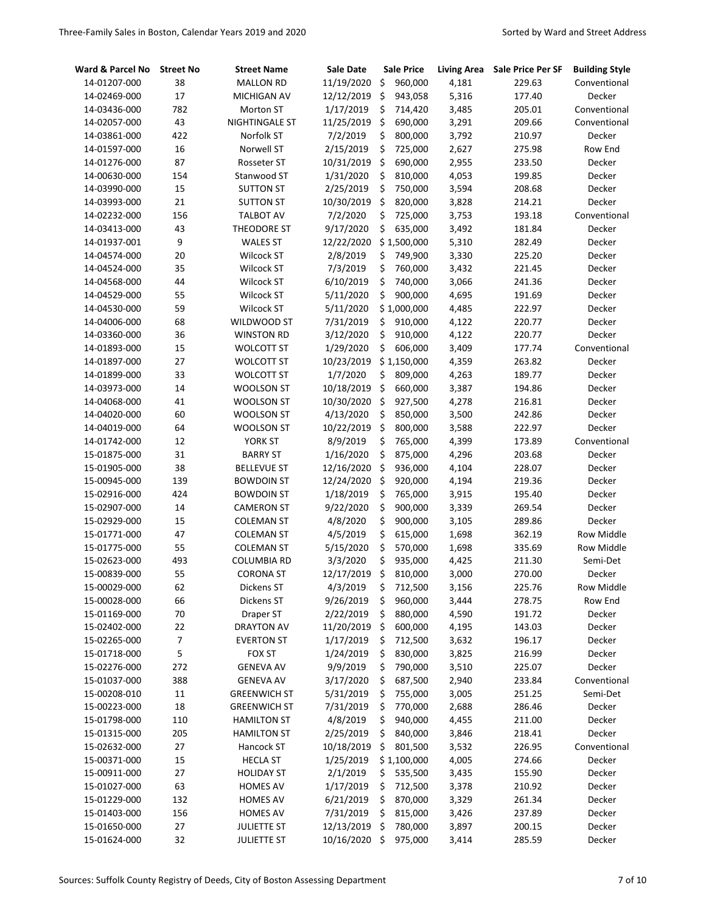| Ward & Parcel No | <b>Street No</b> | <b>Street Name</b>  | Sale Date     |    | <b>Sale Price</b> | <b>Living Area</b> | Sale Price Per SF | <b>Building Style</b> |
|------------------|------------------|---------------------|---------------|----|-------------------|--------------------|-------------------|-----------------------|
| 14-01207-000     | 38               | <b>MALLON RD</b>    | 11/19/2020    | \$ | 960,000           | 4,181              | 229.63            | Conventional          |
| 14-02469-000     | 17               | MICHIGAN AV         | 12/12/2019    | \$ | 943,058           | 5,316              | 177.40            | Decker                |
| 14-03436-000     | 782              | <b>Morton ST</b>    | 1/17/2019     | \$ | 714,420           | 3,485              | 205.01            | Conventional          |
| 14-02057-000     | 43               | NIGHTINGALE ST      | 11/25/2019    | \$ | 690,000           | 3,291              | 209.66            | Conventional          |
| 14-03861-000     | 422              | Norfolk ST          | 7/2/2019      | \$ | 800,000           | 3,792              | 210.97            | Decker                |
| 14-01597-000     | 16               | Norwell ST          | 2/15/2019     | \$ | 725,000           | 2,627              | 275.98            | Row End               |
| 14-01276-000     | 87               | Rosseter ST         | 10/31/2019    | \$ | 690,000           | 2,955              | 233.50            | Decker                |
| 14-00630-000     | 154              | Stanwood ST         | 1/31/2020     | \$ | 810,000           | 4,053              | 199.85            | Decker                |
| 14-03990-000     | 15               | <b>SUTTON ST</b>    | 2/25/2019     | \$ | 750,000           | 3,594              | 208.68            | Decker                |
| 14-03993-000     | 21               | <b>SUTTON ST</b>    | 10/30/2019    | \$ | 820,000           | 3,828              | 214.21            | Decker                |
| 14-02232-000     | 156              | <b>TALBOT AV</b>    | 7/2/2020      | \$ | 725,000           | 3,753              | 193.18            | Conventional          |
| 14-03413-000     | 43               | THEODORE ST         | 9/17/2020     | \$ | 635,000           | 3,492              | 181.84            | Decker                |
| 14-01937-001     | 9                | <b>WALES ST</b>     | 12/22/2020    |    | \$1,500,000       | 5,310              | 282.49            | Decker                |
| 14-04574-000     | 20               | Wilcock ST          | 2/8/2019      | \$ | 749,900           | 3,330              | 225.20            | Decker                |
| 14-04524-000     | 35               | Wilcock ST          | 7/3/2019      | \$ | 760,000           | 3,432              | 221.45            | Decker                |
| 14-04568-000     | 44               | Wilcock ST          | 6/10/2019     | \$ | 740,000           | 3,066              | 241.36            | Decker                |
| 14-04529-000     | 55               | Wilcock ST          | 5/11/2020     | \$ | 900,000           | 4,695              | 191.69            | Decker                |
| 14-04530-000     | 59               | Wilcock ST          | 5/11/2020     |    | \$1,000,000       | 4,485              | 222.97            | Decker                |
| 14-04006-000     | 68               | WILDWOOD ST         | 7/31/2019     | \$ | 910,000           | 4,122              | 220.77            | Decker                |
| 14-03360-000     | 36               | <b>WINSTON RD</b>   | 3/12/2020     | \$ | 910,000           | 4,122              | 220.77            | Decker                |
| 14-01893-000     | 15               | <b>WOLCOTT ST</b>   | 1/29/2020     | \$ | 606,000           | 3,409              | 177.74            | Conventional          |
| 14-01897-000     | 27               | <b>WOLCOTT ST</b>   | 10/23/2019    |    | \$1,150,000       | 4,359              | 263.82            | Decker                |
| 14-01899-000     | 33               | <b>WOLCOTT ST</b>   | 1/7/2020      | \$ | 809,000           | 4,263              | 189.77            | Decker                |
| 14-03973-000     | 14               | WOOLSON ST          | 10/18/2019    | \$ | 660,000           | 3,387              | 194.86            | Decker                |
| 14-04068-000     | 41               | WOOLSON ST          | 10/30/2020    | \$ | 927,500           | 4,278              | 216.81            | Decker                |
| 14-04020-000     | 60               | WOOLSON ST          | 4/13/2020     | \$ | 850,000           | 3,500              | 242.86            | Decker                |
| 14-04019-000     | 64               | <b>WOOLSON ST</b>   | 10/22/2019    | \$ | 800,000           | 3,588              | 222.97            | Decker                |
| 14-01742-000     | 12               | YORK ST             | 8/9/2019      | \$ | 765,000           | 4,399              | 173.89            | Conventional          |
| 15-01875-000     | 31               | <b>BARRY ST</b>     | 1/16/2020     | \$ | 875,000           | 4,296              | 203.68            | Decker                |
| 15-01905-000     | 38               | <b>BELLEVUE ST</b>  | 12/16/2020    | \$ | 936,000           | 4,104              | 228.07            | Decker                |
| 15-00945-000     | 139              | <b>BOWDOIN ST</b>   | 12/24/2020    | \$ | 920,000           | 4,194              | 219.36            | Decker                |
| 15-02916-000     | 424              | <b>BOWDOIN ST</b>   | 1/18/2019     | \$ | 765,000           | 3,915              | 195.40            | Decker                |
| 15-02907-000     | 14               | <b>CAMERON ST</b>   | 9/22/2020     | \$ | 900,000           | 3,339              | 269.54            | Decker                |
| 15-02929-000     | 15               | <b>COLEMAN ST</b>   | 4/8/2020      | \$ | 900,000           | 3,105              | 289.86            | Decker                |
| 15-01771-000     | 47               | <b>COLEMAN ST</b>   | 4/5/2019      | \$ | 615,000           | 1,698              | 362.19            | <b>Row Middle</b>     |
| 15-01775-000     | 55               | <b>COLEMAN ST</b>   | 5/15/2020     | \$ | 570,000           | 1,698              | 335.69            | Row Middle            |
| 15-02623-000     | 493              | <b>COLUMBIA RD</b>  | 3/3/2020      | \$ | 935,000           | 4,425              | 211.30            | Semi-Det              |
| 15-00839-000     | 55               | <b>CORONA ST</b>    | 12/17/2019    | Ś. | 810,000           | 3,000              | 270.00            | Decker                |
| 15-00029-000     | 62               | Dickens ST          | 4/3/2019      | Ş. | 712,500           | 3,156              | 225.76            | Row Middle            |
| 15-00028-000     | 66               | Dickens ST          | 9/26/2019     | \$ | 960,000           | 3,444              | 278.75            | Row End               |
| 15-01169-000     | 70               | Draper ST           | 2/22/2019     | \$ | 880,000           | 4,590              | 191.72            | Decker                |
| 15-02402-000     | 22               | <b>DRAYTON AV</b>   | 11/20/2019    | \$ | 600,000           | 4,195              | 143.03            | Decker                |
| 15-02265-000     | 7                | <b>EVERTON ST</b>   | 1/17/2019     | \$ | 712,500           | 3,632              | 196.17            | Decker                |
| 15-01718-000     | 5                | FOX ST              | 1/24/2019     | \$ | 830,000           | 3,825              | 216.99            | Decker                |
| 15-02276-000     | 272              | <b>GENEVA AV</b>    | 9/9/2019      | \$ | 790,000           | 3,510              | 225.07            | Decker                |
| 15-01037-000     | 388              | <b>GENEVA AV</b>    | 3/17/2020     | \$ | 687,500           | 2,940              | 233.84            | Conventional          |
| 15-00208-010     | 11               | <b>GREENWICH ST</b> | 5/31/2019     | \$ | 755,000           | 3,005              | 251.25            | Semi-Det              |
| 15-00223-000     | 18               | <b>GREENWICH ST</b> | 7/31/2019     | \$ | 770,000           | 2,688              | 286.46            | Decker                |
| 15-01798-000     | 110              | <b>HAMILTON ST</b>  | 4/8/2019      | \$ | 940,000           | 4,455              | 211.00            | Decker                |
| 15-01315-000     | 205              | <b>HAMILTON ST</b>  | 2/25/2019     | \$ | 840,000           | 3,846              | 218.41            | Decker                |
| 15-02632-000     | 27               | Hancock ST          | 10/18/2019    | \$ | 801,500           | 3,532              | 226.95            | Conventional          |
| 15-00371-000     | 15               | <b>HECLA ST</b>     | 1/25/2019     |    | \$1,100,000       | 4,005              | 274.66            | Decker                |
| 15-00911-000     | 27               | <b>HOLIDAY ST</b>   | 2/1/2019      | \$ | 535,500           | 3,435              | 155.90            | Decker                |
| 15-01027-000     | 63               | <b>HOMES AV</b>     | 1/17/2019     | \$ | 712,500           | 3,378              | 210.92            | Decker                |
| 15-01229-000     | 132              | <b>HOMES AV</b>     | 6/21/2019     | \$ | 870,000           | 3,329              | 261.34            | Decker                |
| 15-01403-000     | 156              | <b>HOMES AV</b>     | 7/31/2019     | \$ | 815,000           | 3,426              | 237.89            | Decker                |
| 15-01650-000     | 27               | <b>JULIETTE ST</b>  | 12/13/2019    | \$ | 780,000           | 3,897              | 200.15            | Decker                |
| 15-01624-000     | 32               | <b>JULIETTE ST</b>  | 10/16/2020 \$ |    | 975,000           | 3,414              | 285.59            | Decker                |
|                  |                  |                     |               |    |                   |                    |                   |                       |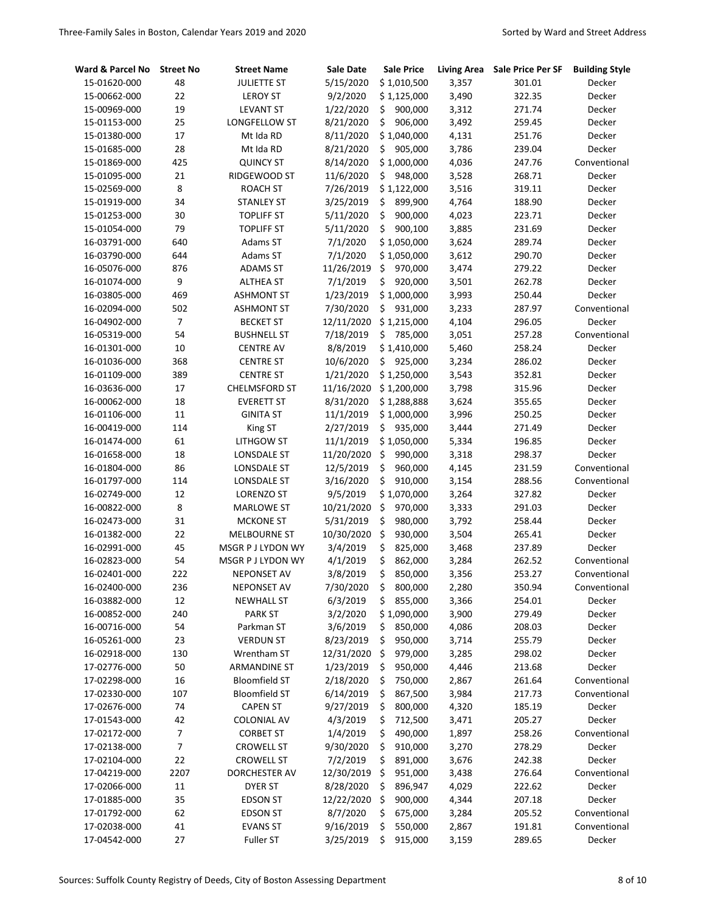| Ward & Parcel No | <b>Street No</b> | <b>Street Name</b>   | Sale Date  | <b>Sale Price</b> | <b>Living Area</b> | <b>Sale Price Per SF</b> | <b>Building Style</b> |
|------------------|------------------|----------------------|------------|-------------------|--------------------|--------------------------|-----------------------|
| 15-01620-000     | 48               | <b>JULIETTE ST</b>   | 5/15/2020  | \$1,010,500       | 3,357              | 301.01                   | Decker                |
| 15-00662-000     | 22               | <b>LEROY ST</b>      | 9/2/2020   | \$1,125,000       | 3,490              | 322.35                   | Decker                |
| 15-00969-000     | 19               | <b>LEVANT ST</b>     | 1/22/2020  | \$<br>900,000     | 3,312              | 271.74                   | Decker                |
| 15-01153-000     | 25               | LONGFELLOW ST        | 8/21/2020  | \$<br>906,000     | 3,492              | 259.45                   | Decker                |
| 15-01380-000     | 17               | Mt Ida RD            | 8/11/2020  | \$1,040,000       | 4,131              | 251.76                   | Decker                |
| 15-01685-000     | 28               | Mt Ida RD            | 8/21/2020  | \$<br>905,000     | 3,786              | 239.04                   | Decker                |
| 15-01869-000     | 425              | <b>QUINCY ST</b>     | 8/14/2020  | \$1,000,000       | 4,036              | 247.76                   | Conventional          |
| 15-01095-000     | 21               | RIDGEWOOD ST         | 11/6/2020  | \$<br>948,000     | 3,528              | 268.71                   | Decker                |
| 15-02569-000     | 8                | <b>ROACH ST</b>      | 7/26/2019  | \$1,122,000       | 3,516              | 319.11                   | Decker                |
| 15-01919-000     | 34               | <b>STANLEY ST</b>    | 3/25/2019  | \$<br>899,900     | 4,764              | 188.90                   | Decker                |
| 15-01253-000     | 30               | <b>TOPLIFF ST</b>    | 5/11/2020  | \$<br>900,000     | 4,023              | 223.71                   | Decker                |
| 15-01054-000     | 79               | <b>TOPLIFF ST</b>    | 5/11/2020  | \$<br>900,100     | 3,885              | 231.69                   | Decker                |
| 16-03791-000     | 640              | Adams ST             | 7/1/2020   | \$1,050,000       | 3,624              | 289.74                   | Decker                |
| 16-03790-000     | 644              | Adams ST             | 7/1/2020   | \$1,050,000       | 3,612              | 290.70                   | Decker                |
| 16-05076-000     | 876              | <b>ADAMS ST</b>      | 11/26/2019 | \$<br>970,000     | 3,474              | 279.22                   | Decker                |
| 16-01074-000     | 9                | <b>ALTHEA ST</b>     | 7/1/2019   | \$<br>920,000     | 3,501              | 262.78                   | Decker                |
| 16-03805-000     | 469              | <b>ASHMONT ST</b>    | 1/23/2019  | \$1,000,000       | 3,993              | 250.44                   | Decker                |
| 16-02094-000     | 502              | <b>ASHMONT ST</b>    | 7/30/2020  | \$<br>931,000     | 3,233              | 287.97                   | Conventional          |
| 16-04902-000     | $\overline{7}$   | <b>BECKET ST</b>     | 12/11/2020 | \$1,215,000       | 4,104              | 296.05                   | Decker                |
| 16-05319-000     | 54               | <b>BUSHNELL ST</b>   | 7/18/2019  | \$<br>785,000     | 3,051              | 257.28                   | Conventional          |
| 16-01301-000     | 10               | <b>CENTRE AV</b>     | 8/8/2019   | \$1,410,000       | 5,460              | 258.24                   | Decker                |
| 16-01036-000     | 368              | <b>CENTRE ST</b>     | 10/6/2020  | \$<br>925,000     | 3,234              | 286.02                   | Decker                |
| 16-01109-000     | 389              | <b>CENTRE ST</b>     | 1/21/2020  | \$1,250,000       | 3,543              | 352.81                   | Decker                |
| 16-03636-000     | 17               | <b>CHELMSFORD ST</b> | 11/16/2020 | \$1,200,000       | 3,798              | 315.96                   | Decker                |
| 16-00062-000     | 18               | <b>EVERETT ST</b>    | 8/31/2020  | \$1,288,888       | 3,624              | 355.65                   | Decker                |
| 16-01106-000     | $11\,$           | <b>GINITA ST</b>     | 11/1/2019  | \$1,000,000       | 3,996              | 250.25                   | Decker                |
| 16-00419-000     | 114              | King ST              | 2/27/2019  | \$<br>935,000     | 3,444              | 271.49                   | Decker                |
| 16-01474-000     | 61               | LITHGOW ST           | 11/1/2019  | \$1,050,000       | 5,334              | 196.85                   | Decker                |
| 16-01658-000     | 18               | LONSDALE ST          | 11/20/2020 | \$<br>990,000     | 3,318              | 298.37                   | Decker                |
| 16-01804-000     | 86               | <b>LONSDALE ST</b>   | 12/5/2019  | \$<br>960,000     | 4,145              | 231.59                   | Conventional          |
| 16-01797-000     | 114              | LONSDALE ST          | 3/16/2020  | \$<br>910,000     | 3,154              | 288.56                   | Conventional          |
| 16-02749-000     | 12               | <b>LORENZO ST</b>    | 9/5/2019   | \$1,070,000       | 3,264              | 327.82                   | Decker                |
| 16-00822-000     | 8                | <b>MARLOWE ST</b>    | 10/21/2020 | \$<br>970,000     | 3,333              | 291.03                   | Decker                |
| 16-02473-000     | 31               | <b>MCKONE ST</b>     | 5/31/2019  | \$<br>980,000     | 3,792              | 258.44                   | Decker                |
| 16-01382-000     | 22               | <b>MELBOURNE ST</b>  | 10/30/2020 | \$<br>930,000     | 3,504              | 265.41                   | Decker                |
| 16-02991-000     | 45               | MSGR P J LYDON WY    | 3/4/2019   | \$<br>825,000     | 3,468              | 237.89                   | Decker                |
| 16-02823-000     | 54               | MSGR P J LYDON WY    | 4/1/2019   | \$<br>862,000     | 3,284              | 262.52                   | Conventional          |
| 16-02401-000     | 222              | <b>NEPONSET AV</b>   | 3/8/2019   | \$<br>850,000     | 3,356              | 253.27                   | Conventional          |
| 16-02400-000     | 236              | <b>NEPONSET AV</b>   | 7/30/2020  | \$<br>800,000     | 2,280              | 350.94                   | Conventional          |
| 16-03882-000     | 12               | <b>NEWHALL ST</b>    | 6/3/2019   | \$<br>855,000     | 3,366              | 254.01                   | Decker                |
| 16-00852-000     | 240              | <b>PARK ST</b>       | 3/2/2020   | \$1,090,000       | 3,900              | 279.49                   | Decker                |
| 16-00716-000     | 54               | Parkman ST           | 3/6/2019   | \$<br>850,000     | 4,086              | 208.03                   | Decker                |
| 16-05261-000     | 23               | <b>VERDUN ST</b>     | 8/23/2019  | \$<br>950,000     | 3,714              | 255.79                   | Decker                |
| 16-02918-000     | 130              | Wrentham ST          | 12/31/2020 | \$<br>979,000     | 3,285              | 298.02                   | Decker                |
| 17-02776-000     | 50               | <b>ARMANDINE ST</b>  | 1/23/2019  | \$<br>950,000     | 4,446              | 213.68                   | Decker                |
| 17-02298-000     | 16               | <b>Bloomfield ST</b> | 2/18/2020  | \$<br>750,000     | 2,867              | 261.64                   | Conventional          |
| 17-02330-000     | 107              | Bloomfield ST        | 6/14/2019  | \$<br>867,500     | 3,984              | 217.73                   | Conventional          |
| 17-02676-000     | 74               | <b>CAPEN ST</b>      | 9/27/2019  | \$<br>800,000     | 4,320              | 185.19                   | Decker                |
| 17-01543-000     | 42               | <b>COLONIAL AV</b>   | 4/3/2019   | \$<br>712,500     | 3,471              | 205.27                   | Decker                |
| 17-02172-000     | 7                | <b>CORBET ST</b>     | 1/4/2019   | \$<br>490,000     | 1,897              | 258.26                   | Conventional          |
| 17-02138-000     | 7                | <b>CROWELL ST</b>    | 9/30/2020  | \$<br>910,000     | 3,270              | 278.29                   | Decker                |
| 17-02104-000     | 22               | <b>CROWELL ST</b>    | 7/2/2019   | \$<br>891,000     | 3,676              | 242.38                   | Decker                |
| 17-04219-000     | 2207             | DORCHESTER AV        | 12/30/2019 | \$<br>951,000     | 3,438              | 276.64                   | Conventional          |
| 17-02066-000     | 11               | DYER ST              | 8/28/2020  | \$<br>896,947     | 4,029              | 222.62                   | Decker                |
| 17-01885-000     | 35               | <b>EDSON ST</b>      | 12/22/2020 | \$<br>900,000     | 4,344              | 207.18                   | Decker                |
| 17-01792-000     | 62               | <b>EDSON ST</b>      | 8/7/2020   | \$<br>675,000     | 3,284              | 205.52                   | Conventional          |
| 17-02038-000     | 41               | <b>EVANS ST</b>      | 9/16/2019  | \$<br>550,000     | 2,867              | 191.81                   | Conventional          |
| 17-04542-000     | 27               | Fuller ST            | 3/25/2019  | \$<br>915,000     | 3,159              | 289.65                   | Decker                |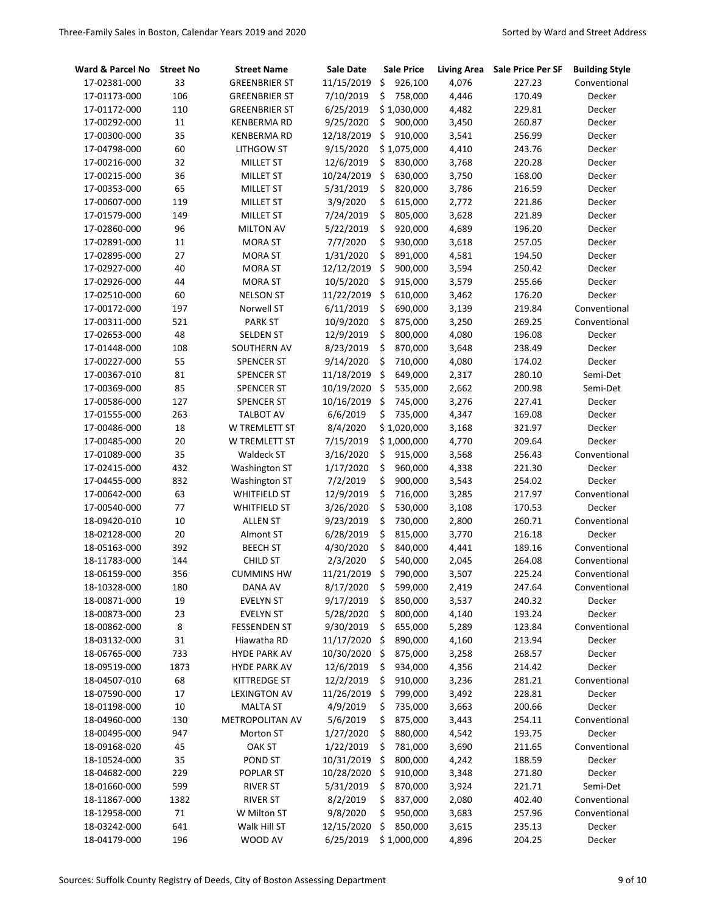| Ward & Parcel No | <b>Street No</b> | <b>Street Name</b>   | Sale Date  | <b>Sale Price</b> | <b>Living Area</b> | <b>Sale Price Per SF</b> | <b>Building Style</b> |
|------------------|------------------|----------------------|------------|-------------------|--------------------|--------------------------|-----------------------|
| 17-02381-000     | 33               | <b>GREENBRIER ST</b> | 11/15/2019 | \$<br>926,100     | 4,076              | 227.23                   | Conventional          |
| 17-01173-000     | 106              | <b>GREENBRIER ST</b> | 7/10/2019  | \$<br>758,000     | 4,446              | 170.49                   | Decker                |
| 17-01172-000     | 110              | <b>GREENBRIER ST</b> | 6/25/2019  | \$1,030,000       | 4,482              | 229.81                   | Decker                |
| 17-00292-000     | 11               | <b>KENBERMA RD</b>   | 9/25/2020  | \$<br>900,000     | 3,450              | 260.87                   | Decker                |
| 17-00300-000     | 35               | <b>KENBERMA RD</b>   | 12/18/2019 | \$<br>910,000     | 3,541              | 256.99                   | Decker                |
| 17-04798-000     | 60               | LITHGOW ST           | 9/15/2020  | \$1,075,000       | 4,410              | 243.76                   | Decker                |
| 17-00216-000     | 32               | <b>MILLET ST</b>     | 12/6/2019  | \$<br>830,000     | 3,768              | 220.28                   | Decker                |
| 17-00215-000     | 36               | <b>MILLET ST</b>     | 10/24/2019 | \$<br>630,000     | 3,750              | 168.00                   | Decker                |
| 17-00353-000     | 65               | MILLET ST            | 5/31/2019  | \$<br>820,000     | 3,786              | 216.59                   | Decker                |
| 17-00607-000     | 119              | <b>MILLET ST</b>     | 3/9/2020   | \$<br>615,000     | 2,772              | 221.86                   | Decker                |
| 17-01579-000     | 149              | <b>MILLET ST</b>     | 7/24/2019  | \$<br>805,000     | 3,628              | 221.89                   | Decker                |
| 17-02860-000     | 96               | <b>MILTON AV</b>     | 5/22/2019  | \$<br>920,000     | 4,689              | 196.20                   | Decker                |
| 17-02891-000     | 11               | <b>MORA ST</b>       | 7/7/2020   | \$<br>930,000     | 3,618              | 257.05                   | Decker                |
| 17-02895-000     | 27               | <b>MORA ST</b>       | 1/31/2020  | \$<br>891,000     | 4,581              | 194.50                   | Decker                |
| 17-02927-000     | 40               | <b>MORA ST</b>       | 12/12/2019 | \$<br>900,000     | 3,594              | 250.42                   | Decker                |
| 17-02926-000     | 44               | <b>MORA ST</b>       | 10/5/2020  | \$<br>915,000     | 3,579              | 255.66                   | Decker                |
| 17-02510-000     | 60               | <b>NELSON ST</b>     | 11/22/2019 | \$<br>610,000     | 3,462              | 176.20                   | Decker                |
| 17-00172-000     | 197              | Norwell ST           | 6/11/2019  | \$<br>690,000     | 3,139              | 219.84                   | Conventional          |
| 17-00311-000     | 521              | <b>PARK ST</b>       | 10/9/2020  | \$<br>875,000     | 3,250              | 269.25                   | Conventional          |
| 17-02653-000     | 48               | <b>SELDEN ST</b>     | 12/9/2019  | \$<br>800,000     | 4,080              | 196.08                   | Decker                |
| 17-01448-000     | 108              | SOUTHERN AV          | 8/23/2019  | \$<br>870,000     | 3,648              | 238.49                   | Decker                |
| 17-00227-000     | 55               | <b>SPENCER ST</b>    | 9/14/2020  | \$<br>710,000     | 4,080              | 174.02                   | Decker                |
| 17-00367-010     | 81               | <b>SPENCER ST</b>    | 11/18/2019 | \$<br>649,000     | 2,317              | 280.10                   | Semi-Det              |
| 17-00369-000     | 85               | <b>SPENCER ST</b>    | 10/19/2020 | \$<br>535,000     | 2,662              | 200.98                   | Semi-Det              |
| 17-00586-000     | 127              | <b>SPENCER ST</b>    | 10/16/2019 | \$<br>745,000     | 3,276              | 227.41                   | Decker                |
| 17-01555-000     | 263              | <b>TALBOT AV</b>     | 6/6/2019   | \$<br>735,000     | 4,347              | 169.08                   | Decker                |
| 17-00486-000     | 18               | W TREMLETT ST        | 8/4/2020   | \$1,020,000       | 3,168              | 321.97                   | Decker                |
| 17-00485-000     | 20               | W TREMLETT ST        | 7/15/2019  | \$1,000,000       | 4,770              | 209.64                   | Decker                |
| 17-01089-000     | 35               | <b>Waldeck ST</b>    | 3/16/2020  | \$<br>915,000     | 3,568              | 256.43                   | Conventional          |
| 17-02415-000     | 432              | Washington ST        | 1/17/2020  | \$<br>960,000     | 4,338              | 221.30                   | Decker                |
| 17-04455-000     | 832              | Washington ST        | 7/2/2019   | \$<br>900,000     | 3,543              | 254.02                   | Decker                |
| 17-00642-000     | 63               | <b>WHITFIELD ST</b>  | 12/9/2019  | \$<br>716,000     | 3,285              | 217.97                   | Conventional          |
| 17-00540-000     | 77               | <b>WHITFIELD ST</b>  | 3/26/2020  | \$<br>530,000     | 3,108              | 170.53                   | Decker                |
| 18-09420-010     | 10               | <b>ALLEN ST</b>      | 9/23/2019  | \$<br>730,000     | 2,800              | 260.71                   | Conventional          |
| 18-02128-000     | 20               | <b>Almont ST</b>     | 6/28/2019  | \$<br>815,000     | 3,770              | 216.18                   | Decker                |
| 18-05163-000     | 392              | <b>BEECH ST</b>      | 4/30/2020  | \$<br>840,000     | 4,441              | 189.16                   | Conventional          |
| 18-11783-000     | 144              | CHILD ST             | 2/3/2020   | \$<br>540,000     | 2,045              | 264.08                   | Conventional          |
| 18-06159-000     | 356              | <b>CUMMINS HW</b>    | 11/21/2019 | \$<br>790,000     | 3,507              | 225.24                   | Conventional          |
| 18-10328-000     | 180              | DANA AV              | 8/17/2020  | \$<br>599,000     | 2,419              | 247.64                   | Conventional          |
| 18-00871-000     | 19               | <b>EVELYN ST</b>     | 9/17/2019  | \$<br>850,000     | 3,537              | 240.32                   | Decker                |
| 18-00873-000     | 23               | <b>EVELYN ST</b>     | 5/28/2020  | \$<br>800,000     | 4,140              | 193.24                   | Decker                |
| 18-00862-000     | 8                | <b>FESSENDEN ST</b>  | 9/30/2019  | \$<br>655,000     | 5,289              | 123.84                   | Conventional          |
| 18-03132-000     | 31               | Hiawatha RD          | 11/17/2020 | \$<br>890,000     | 4,160              | 213.94                   | Decker                |
| 18-06765-000     | 733              | <b>HYDE PARK AV</b>  | 10/30/2020 | \$<br>875,000     | 3,258              | 268.57                   | Decker                |
| 18-09519-000     | 1873             | <b>HYDE PARK AV</b>  | 12/6/2019  | \$<br>934,000     | 4,356              | 214.42                   | Decker                |
| 18-04507-010     | 68               | KITTREDGE ST         | 12/2/2019  | \$<br>910,000     | 3,236              | 281.21                   | Conventional          |
| 18-07590-000     | 17               | <b>LEXINGTON AV</b>  | 11/26/2019 | \$<br>799,000     | 3,492              | 228.81                   | Decker                |
| 18-01198-000     | 10               | <b>MALTA ST</b>      | 4/9/2019   | \$<br>735,000     | 3,663              | 200.66                   | Decker                |
| 18-04960-000     | 130              | METROPOLITAN AV      | 5/6/2019   | \$<br>875,000     | 3,443              | 254.11                   | Conventional          |
| 18-00495-000     | 947              | <b>Morton ST</b>     | 1/27/2020  | \$<br>880,000     | 4,542              | 193.75                   | Decker                |
| 18-09168-020     | 45               | OAK ST               | 1/22/2019  | \$<br>781,000     | 3,690              | 211.65                   | Conventional          |
| 18-10524-000     | 35               | POND ST              | 10/31/2019 | \$<br>800,000     | 4,242              | 188.59                   | Decker                |
| 18-04682-000     | 229              | POPLAR ST            | 10/28/2020 | \$<br>910,000     | 3,348              | 271.80                   | Decker                |
| 18-01660-000     | 599              | RIVER ST             | 5/31/2019  | \$<br>870,000     | 3,924              | 221.71                   | Semi-Det              |
| 18-11867-000     | 1382             | <b>RIVER ST</b>      | 8/2/2019   | \$<br>837,000     | 2,080              | 402.40                   | Conventional          |
| 18-12958-000     | 71               | W Milton ST          | 9/8/2020   | \$<br>950,000     | 3,683              | 257.96                   | Conventional          |
| 18-03242-000     | 641              | Walk Hill ST         | 12/15/2020 | \$<br>850,000     | 3,615              | 235.13                   | Decker                |
| 18-04179-000     | 196              | WOOD AV              | 6/25/2019  | \$1,000,000       | 4,896              | 204.25                   | Decker                |